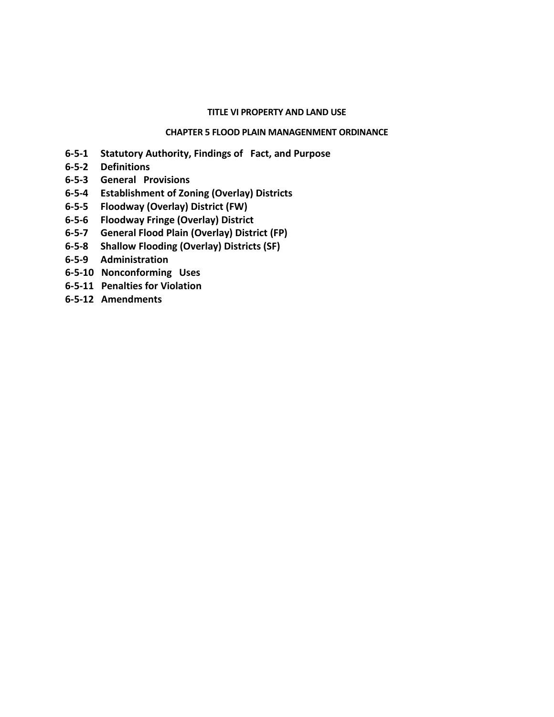#### **TITLE VI PROPERTY AND LAND USE**

#### **CHAPTER 5 FLOOD PLAIN MANAGENMENT ORDINANCE**

- **6-5-1 Statutory Authority, Findings of Fact, and Purpose**
- **6-5-2 Definitions**
- **6-5-3 General Provisions**
- **6-5-4 Establishment of Zoning (Overlay) Districts**
- **6-5-5 Floodway (Overlay) District (FW)**
- **6-5-6 Floodway Fringe (Overlay) District**
- **6-5-7 General Flood Plain (Overlay) District (FP)**
- **6-5-8 Shallow Flooding (Overlay) Districts (SF)**
- **6-5-9 Administration**
- **6-5-10 Nonconforming Uses**
- **6-5-11 Penalties for Violation**
- **6-5-12 Amendments**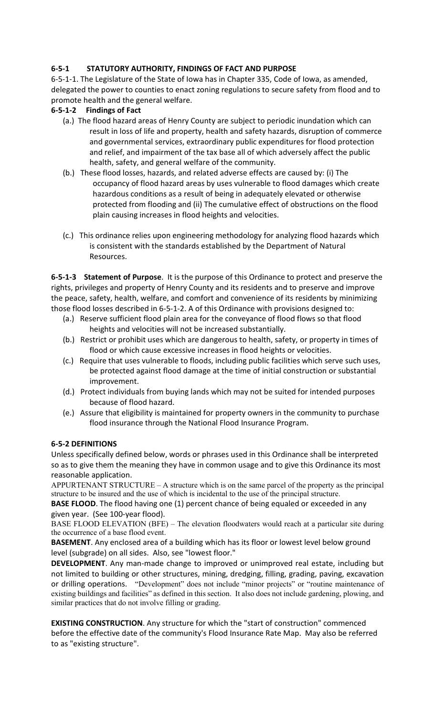# **6-5-1 STATUTORY AUTHORITY, FINDINGS OF FACT AND PURPOSE**

6-5-1-1. The Legislature of the State of Iowa has in Chapter 335, Code of Iowa, as amended, delegated the power to counties to enact zoning regulations to secure safety from flood and to promote health and the general welfare.

## **6-5-1-2 Findings of Fact**

- (a.) The flood hazard areas of Henry County are subject to periodic inundation which can result in loss of life and property, health and safety hazards, disruption of commerce and governmental services, extraordinary public expenditures for flood protection and relief, and impairment of the tax base all of which adversely affect the public health, safety, and general welfare of the community.
- (b.) These flood losses, hazards, and related adverse effects are caused by: (i) The occupancy of flood hazard areas by uses vulnerable to flood damages which create hazardous conditions as a result of being in adequately elevated or otherwise protected from flooding and (ii) The cumulative effect of obstructions on the flood plain causing increases in flood heights and velocities.
- (c.) This ordinance relies upon engineering methodology for analyzing flood hazards which is consistent with the standards established by the Department of Natural Resources.

**6-5-1-3 Statement of Purpose**. It is the purpose of this Ordinance to protect and preserve the rights, privileges and property of Henry County and its residents and to preserve and improve the peace, safety, health, welfare, and comfort and convenience of its residents by minimizing those flood losses described in 6-5-1-2. A of this Ordinance with provisions designed to:

- (a.) Reserve sufficient flood plain area for the conveyance of flood flows so that flood heights and velocities will not be increased substantially.
- (b.) Restrict or prohibit uses which are dangerous to health, safety, or property in times of flood or which cause excessive increases in flood heights or velocities.
- (c.) Require that uses vulnerable to floods, including public facilities which serve such uses, be protected against flood damage at the time of initial construction or substantial improvement.
- (d.) Protect individuals from buying lands which may not be suited for intended purposes because of flood hazard.
- (e.) Assure that eligibility is maintained for property owners in the community to purchase flood insurance through the National Flood Insurance Program.

### **6-5-2 DEFINITIONS**

Unless specifically defined below, words or phrases used in this Ordinance shall be interpreted so as to give them the meaning they have in common usage and to give this Ordinance its most reasonable application.

APPURTENANT STRUCTURE – A structure which is on the same parcel of the property as the principal structure to be insured and the use of which is incidental to the use of the principal structure.

**BASE FLOOD**. The flood having one (1) percent chance of being equaled or exceeded in any given year. (See 100-year flood).

BASE FLOOD ELEVATION (BFE) – The elevation floodwaters would reach at a particular site during the occurrence of a base flood event.

**BASEMENT**. Any enclosed area of a building which has its floor or lowest level below ground level (subgrade) on all sides. Also, see "lowest floor."

**DEVELOPMENT**. Any man-made change to improved or unimproved real estate, including but not limited to building or other structures, mining, dredging, filling, grading, paving, excavation or drilling operations. "Development" does not include "minor projects" or "routine maintenance of existing buildings and facilities" as defined in this section. It also does not include gardening, plowing, and similar practices that do not involve filling or grading.

**EXISTING CONSTRUCTION**. Any structure for which the "start of construction" commenced before the effective date of the community's Flood Insurance Rate Map. May also be referred to as "existing structure".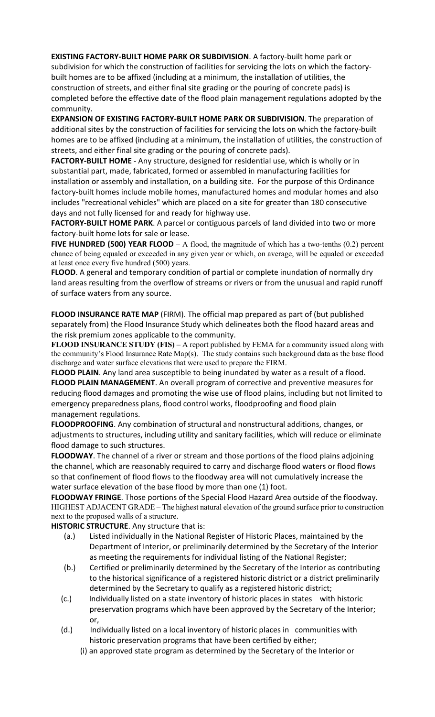**EXISTING FACTORY-BUILT HOME PARK OR SUBDIVISION**. A factory-built home park or subdivision for which the construction of facilities for servicing the lots on which the factorybuilt homes are to be affixed (including at a minimum, the installation of utilities, the construction of streets, and either final site grading or the pouring of concrete pads) is completed before the effective date of the flood plain management regulations adopted by the community.

**EXPANSION OF EXISTING FACTORY-BUILT HOME PARK OR SUBDIVISION**. The preparation of additional sites by the construction of facilities for servicing the lots on which the factory-built homes are to be affixed (including at a minimum, the installation of utilities, the construction of streets, and either final site grading or the pouring of concrete pads).

**FACTORY-BUILT HOME** - Any structure, designed for residential use, which is wholly or in substantial part, made, fabricated, formed or assembled in manufacturing facilities for installation or assembly and installation, on a building site. For the purpose of this Ordinance factory-built homes include mobile homes, manufactured homes and modular homes and also includes "recreational vehicles" which are placed on a site for greater than 180 consecutive days and not fully licensed for and ready for highway use.

**FACTORY-BUILT HOME PARK**. A parcel or contiguous parcels of land divided into two or more factory-built home lots for sale or lease.

**FIVE HUNDRED (500) YEAR FLOOD** – A flood, the magnitude of which has a two-tenths  $(0.2)$  percent chance of being equaled or exceeded in any given year or which, on average, will be equaled or exceeded at least once every five hundred (500) years.

**FLOOD**. A general and temporary condition of partial or complete inundation of normally dry land areas resulting from the overflow of streams or rivers or from the unusual and rapid runoff of surface waters from any source.

**FLOOD INSURANCE RATE MAP** (FIRM). The official map prepared as part of (but published separately from) the Flood Insurance Study which delineates both the flood hazard areas and the risk premium zones applicable to the community.

**FLOOD INSURANCE STUDY (FIS)** – A report published by FEMA for a community issued along with the community's Flood Insurance Rate Map(s). The study contains such background data as the base flood discharge and water surface elevations that were used to prepare the FIRM.

**FLOOD PLAIN**. Any land area susceptible to being inundated by water as a result of a flood. **FLOOD PLAIN MANAGEMENT**. An overall program of corrective and preventive measures for reducing flood damages and promoting the wise use of flood plains, including but not limited to emergency preparedness plans, flood control works, floodproofing and flood plain management regulations.

**FLOODPROOFING**. Any combination of structural and nonstructural additions, changes, or adjustments to structures, including utility and sanitary facilities, which will reduce or eliminate flood damage to such structures.

**FLOODWAY**. The channel of a river or stream and those portions of the flood plains adjoining the channel, which are reasonably required to carry and discharge flood waters or flood flows so that confinement of flood flows to the floodway area will not cumulatively increase the water surface elevation of the base flood by more than one (1) foot.

**FLOODWAY FRINGE**. Those portions of the Special Flood Hazard Area outside of the floodway. HIGHEST ADJACENT GRADE – The highest natural elevation of the ground surface prior to construction next to the proposed walls of a structure.

**HISTORIC STRUCTURE**. Any structure that is:

- (a.) Listed individually in the National Register of Historic Places, maintained by the Department of Interior, or preliminarily determined by the Secretary of the Interior as meeting the requirements for individual listing of the National Register;
- (b.) Certified or preliminarily determined by the Secretary of the Interior as contributing to the historical significance of a registered historic district or a district preliminarily determined by the Secretary to qualify as a registered historic district;
- (c.) Individually listed on a state inventory of historic places in states with historic preservation programs which have been approved by the Secretary of the Interior; or,
- (d.) Individually listed on a local inventory of historic places in communities with historic preservation programs that have been certified by either;
	- (i) an approved state program as determined by the Secretary of the Interior or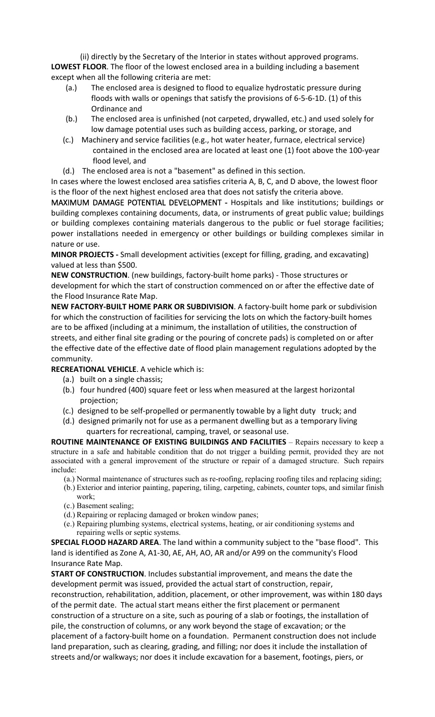(ii) directly by the Secretary of the Interior in states without approved programs. **LOWEST FLOOR**. The floor of the lowest enclosed area in a building including a basement except when all the following criteria are met:

- (a.) The enclosed area is designed to flood to equalize hydrostatic pressure during floods with walls or openings that satisfy the provisions of 6-5-6-1D. (1) of this Ordinance and
- (b.) The enclosed area is unfinished (not carpeted, drywalled, etc.) and used solely for low damage potential uses such as building access, parking, or storage, and
- (c.) Machinery and service facilities (e.g., hot water heater, furnace, electrical service) contained in the enclosed area are located at least one (1) foot above the 100-year flood level, and
- (d.) The enclosed area is not a "basement" as defined in this section.

In cases where the lowest enclosed area satisfies criteria A, B, C, and D above, the lowest floor is the floor of the next highest enclosed area that does not satisfy the criteria above.

MAXIMUM DAMAGE POTENTIAL DEVELOPMENT - Hospitals and like institutions; buildings or building complexes containing documents, data, or instruments of great public value; buildings or building complexes containing materials dangerous to the public or fuel storage facilities; power installations needed in emergency or other buildings or building complexes similar in nature or use.

**MINOR PROJECTS -** Small development activities (except for filling, grading, and excavating) valued at less than \$500.

**NEW CONSTRUCTION**. (new buildings, factory-built home parks) - Those structures or development for which the start of construction commenced on or after the effective date of the Flood Insurance Rate Map.

**NEW FACTORY-BUILT HOME PARK OR SUBDIVISION**. A factory-built home park or subdivision for which the construction of facilities for servicing the lots on which the factory-built homes are to be affixed (including at a minimum, the installation of utilities, the construction of streets, and either final site grading or the pouring of concrete pads) is completed on or after the effective date of the effective date of flood plain management regulations adopted by the community.

**RECREATIONAL VEHICLE**. A vehicle which is:

- (a.) built on a single chassis;
- (b.) four hundred (400) square feet or less when measured at the largest horizontal projection;
- (c.) designed to be self-propelled or permanently towable by a light duty truck; and
- (d.) designed primarily not for use as a permanent dwelling but as a temporary living quarters for recreational, camping, travel, or seasonal use.

**ROUTINE MAINTENANCE OF EXISTING BUILDINGS AND FACILITIES** – Repairs necessary to keep a structure in a safe and habitable condition that do not trigger a building permit, provided they are not associated with a general improvement of the structure or repair of a damaged structure. Such repairs include:

- (a.) Normal maintenance of structures such as re-roofing, replacing roofing tiles and replacing siding;
- (b.) Exterior and interior painting, papering, tiling, carpeting, cabinets, counter tops, and similar finish work;
- (c.) Basement sealing;
- (d.) Repairing or replacing damaged or broken window panes;
- (e.) Repairing plumbing systems, electrical systems, heating, or air conditioning systems and repairing wells or septic systems.

**SPECIAL FLOOD HAZARD AREA**. The land within a community subject to the "base flood". This land is identified as Zone A, A1-30, AE, AH, AO, AR and/or A99 on the community's Flood Insurance Rate Map.

**START OF CONSTRUCTION**. Includes substantial improvement, and means the date the development permit was issued, provided the actual start of construction, repair, reconstruction, rehabilitation, addition, placement, or other improvement, was within 180 days of the permit date. The actual start means either the first placement or permanent construction of a structure on a site, such as pouring of a slab or footings, the installation of pile, the construction of columns, or any work beyond the stage of excavation; or the placement of a factory-built home on a foundation. Permanent construction does not include land preparation, such as clearing, grading, and filling; nor does it include the installation of streets and/or walkways; nor does it include excavation for a basement, footings, piers, or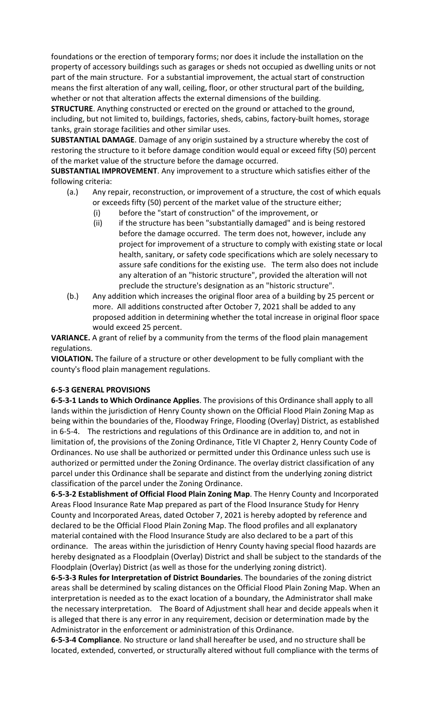foundations or the erection of temporary forms; nor does it include the installation on the property of accessory buildings such as garages or sheds not occupied as dwelling units or not part of the main structure. For a substantial improvement, the actual start of construction means the first alteration of any wall, ceiling, floor, or other structural part of the building, whether or not that alteration affects the external dimensions of the building.

**STRUCTURE**. Anything constructed or erected on the ground or attached to the ground, including, but not limited to, buildings, factories, sheds, cabins, factory-built homes, storage tanks, grain storage facilities and other similar uses.

**SUBSTANTIAL DAMAGE**. Damage of any origin sustained by a structure whereby the cost of restoring the structure to it before damage condition would equal or exceed fifty (50) percent of the market value of the structure before the damage occurred.

**SUBSTANTIAL IMPROVEMENT**. Any improvement to a structure which satisfies either of the following criteria:

- (a.) Any repair, reconstruction, or improvement of a structure, the cost of which equals or exceeds fifty (50) percent of the market value of the structure either;
	- (i) before the "start of construction" of the improvement, or
	- (ii) if the structure has been "substantially damaged" and is being restored before the damage occurred. The term does not, however, include any project for improvement of a structure to comply with existing state or local health, sanitary, or safety code specifications which are solely necessary to assure safe conditions for the existing use. The term also does not include any alteration of an "historic structure", provided the alteration will not preclude the structure's designation as an "historic structure".
- (b.) Any addition which increases the original floor area of a building by 25 percent or more. All additions constructed after October 7, 2021 shall be added to any proposed addition in determining whether the total increase in original floor space would exceed 25 percent.

**VARIANCE.** A grant of relief by a community from the terms of the flood plain management regulations.

**VIOLATION.** The failure of a structure or other development to be fully compliant with the county's flood plain management regulations.

# **6-5-3 GENERAL PROVISIONS**

**6-5-3-1 Lands to Which Ordinance Applies**. The provisions of this Ordinance shall apply to all lands within the jurisdiction of Henry County shown on the Official Flood Plain Zoning Map as being within the boundaries of the, Floodway Fringe, Flooding (Overlay) District, as established in 6-5-4. The restrictions and regulations of this Ordinance are in addition to, and not in limitation of, the provisions of the Zoning Ordinance, Title VI Chapter 2, Henry County Code of Ordinances. No use shall be authorized or permitted under this Ordinance unless such use is authorized or permitted under the Zoning Ordinance. The overlay district classification of any parcel under this Ordinance shall be separate and distinct from the underlying zoning district classification of the parcel under the Zoning Ordinance.

**6-5-3-2 Establishment of Official Flood Plain Zoning Map**. The Henry County and Incorporated Areas Flood Insurance Rate Map prepared as part of the Flood Insurance Study for Henry County and Incorporated Areas, dated October 7, 2021 is hereby adopted by reference and declared to be the Official Flood Plain Zoning Map. The flood profiles and all explanatory material contained with the Flood Insurance Study are also declared to be a part of this ordinance. The areas within the jurisdiction of Henry County having special flood hazards are hereby designated as a Floodplain (Overlay) District and shall be subject to the standards of the Floodplain (Overlay) District (as well as those for the underlying zoning district).

**6-5-3-3 Rules for Interpretation of District Boundaries**. The boundaries of the zoning district areas shall be determined by scaling distances on the Official Flood Plain Zoning Map. When an interpretation is needed as to the exact location of a boundary, the Administrator shall make the necessary interpretation. The Board of Adjustment shall hear and decide appeals when it is alleged that there is any error in any requirement, decision or determination made by the Administrator in the enforcement or administration of this Ordinance.

**6-5-3-4 Compliance**. No structure or land shall hereafter be used, and no structure shall be located, extended, converted, or structurally altered without full compliance with the terms of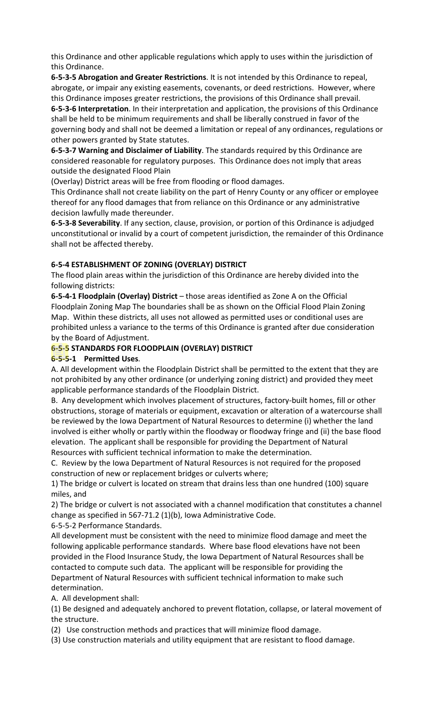this Ordinance and other applicable regulations which apply to uses within the jurisdiction of this Ordinance.

**6-5-3-5 Abrogation and Greater Restrictions**. It is not intended by this Ordinance to repeal, abrogate, or impair any existing easements, covenants, or deed restrictions. However, where this Ordinance imposes greater restrictions, the provisions of this Ordinance shall prevail.

**6-5-3-6 Interpretation**. In their interpretation and application, the provisions of this Ordinance shall be held to be minimum requirements and shall be liberally construed in favor of the governing body and shall not be deemed a limitation or repeal of any ordinances, regulations or other powers granted by State statutes.

**6-5-3-7 Warning and Disclaimer of Liability**. The standards required by this Ordinance are considered reasonable for regulatory purposes. This Ordinance does not imply that areas outside the designated Flood Plain

(Overlay) District areas will be free from flooding or flood damages.

This Ordinance shall not create liability on the part of Henry County or any officer or employee thereof for any flood damages that from reliance on this Ordinance or any administrative decision lawfully made thereunder.

**6-5-3-8 Severability**. If any section, clause, provision, or portion of this Ordinance is adjudged unconstitutional or invalid by a court of competent jurisdiction, the remainder of this Ordinance shall not be affected thereby.

# **6-5-4 ESTABLISHMENT OF ZONING (OVERLAY) DISTRICT**

The flood plain areas within the jurisdiction of this Ordinance are hereby divided into the following districts:

**6-5-4-1 Floodplain (Overlay) District** – those areas identified as Zone A on the Official Floodplain Zoning Map The boundaries shall be as shown on the Official Flood Plain Zoning Map. Within these districts, all uses not allowed as permitted uses or conditional uses are prohibited unless a variance to the terms of this Ordinance is granted after due consideration by the Board of Adjustment.

# **6-5-5 STANDARDS FOR FLOODPLAIN (OVERLAY) DISTRICT**

# **6-5-5-1 Permitted Uses**.

A. All development within the Floodplain District shall be permitted to the extent that they are not prohibited by any other ordinance (or underlying zoning district) and provided they meet applicable performance standards of the Floodplain District.

B. Any development which involves placement of structures, factory-built homes, fill or other obstructions, storage of materials or equipment, excavation or alteration of a watercourse shall be reviewed by the Iowa Department of Natural Resources to determine (i) whether the land involved is either wholly or partly within the floodway or floodway fringe and (ii) the base flood elevation. The applicant shall be responsible for providing the Department of Natural Resources with sufficient technical information to make the determination.

C. Review by the Iowa Department of Natural Resources is not required for the proposed construction of new or replacement bridges or culverts where;

1) The bridge or culvert is located on stream that drains less than one hundred (100) square miles, and

2) The bridge or culvert is not associated with a channel modification that constitutes a channel change as specified in 567-71.2 (1)(b), Iowa Administrative Code.

6-5-5-2 Performance Standards.

All development must be consistent with the need to minimize flood damage and meet the following applicable performance standards. Where base flood elevations have not been provided in the Flood Insurance Study, the Iowa Department of Natural Resources shall be contacted to compute such data. The applicant will be responsible for providing the Department of Natural Resources with sufficient technical information to make such determination.

A. All development shall:

(1) Be designed and adequately anchored to prevent flotation, collapse, or lateral movement of the structure.

(2) Use construction methods and practices that will minimize flood damage.

(3) Use construction materials and utility equipment that are resistant to flood damage.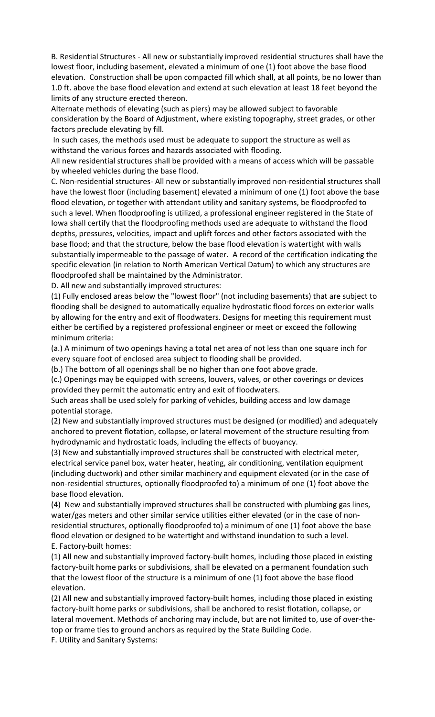B. Residential Structures - All new or substantially improved residential structures shall have the lowest floor, including basement, elevated a minimum of one (1) foot above the base flood elevation. Construction shall be upon compacted fill which shall, at all points, be no lower than 1.0 ft. above the base flood elevation and extend at such elevation at least 18 feet beyond the limits of any structure erected thereon.

Alternate methods of elevating (such as piers) may be allowed subject to favorable consideration by the Board of Adjustment, where existing topography, street grades, or other factors preclude elevating by fill.

In such cases, the methods used must be adequate to support the structure as well as withstand the various forces and hazards associated with flooding.

All new residential structures shall be provided with a means of access which will be passable by wheeled vehicles during the base flood.

C. Non-residential structures- All new or substantially improved non-residential structures shall have the lowest floor (including basement) elevated a minimum of one (1) foot above the base flood elevation, or together with attendant utility and sanitary systems, be floodproofed to such a level. When floodproofing is utilized, a professional engineer registered in the State of Iowa shall certify that the floodproofing methods used are adequate to withstand the flood depths, pressures, velocities, impact and uplift forces and other factors associated with the base flood; and that the structure, below the base flood elevation is watertight with walls substantially impermeable to the passage of water. A record of the certification indicating the specific elevation (in relation to North American Vertical Datum) to which any structures are floodproofed shall be maintained by the Administrator.

D. All new and substantially improved structures:

(1) Fully enclosed areas below the "lowest floor" (not including basements) that are subject to flooding shall be designed to automatically equalize hydrostatic flood forces on exterior walls by allowing for the entry and exit of floodwaters. Designs for meeting this requirement must either be certified by a registered professional engineer or meet or exceed the following minimum criteria:

(a.) A minimum of two openings having a total net area of not less than one square inch for every square foot of enclosed area subject to flooding shall be provided.

(b.) The bottom of all openings shall be no higher than one foot above grade.

(c.) Openings may be equipped with screens, louvers, valves, or other coverings or devices provided they permit the automatic entry and exit of floodwaters.

Such areas shall be used solely for parking of vehicles, building access and low damage potential storage.

(2) New and substantially improved structures must be designed (or modified) and adequately anchored to prevent flotation, collapse, or lateral movement of the structure resulting from hydrodynamic and hydrostatic loads, including the effects of buoyancy.

(3) New and substantially improved structures shall be constructed with electrical meter, electrical service panel box, water heater, heating, air conditioning, ventilation equipment (including ductwork) and other similar machinery and equipment elevated (or in the case of non-residential structures, optionally floodproofed to) a minimum of one (1) foot above the base flood elevation.

(4) New and substantially improved structures shall be constructed with plumbing gas lines, water/gas meters and other similar service utilities either elevated (or in the case of nonresidential structures, optionally floodproofed to) a minimum of one (1) foot above the base flood elevation or designed to be watertight and withstand inundation to such a level. E. Factory-built homes:

(1) All new and substantially improved factory-built homes, including those placed in existing factory-built home parks or subdivisions, shall be elevated on a permanent foundation such that the lowest floor of the structure is a minimum of one (1) foot above the base flood elevation.

(2) All new and substantially improved factory-built homes, including those placed in existing factory-built home parks or subdivisions, shall be anchored to resist flotation, collapse, or lateral movement. Methods of anchoring may include, but are not limited to, use of over-thetop or frame ties to ground anchors as required by the State Building Code.

F. Utility and Sanitary Systems: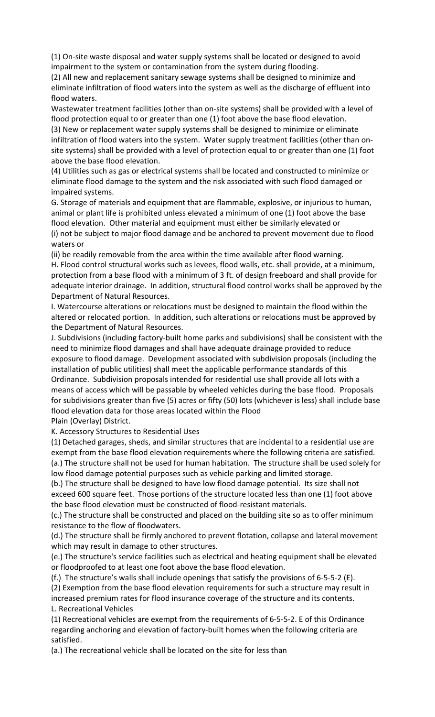(1) On-site waste disposal and water supply systems shall be located or designed to avoid impairment to the system or contamination from the system during flooding.

(2) All new and replacement sanitary sewage systems shall be designed to minimize and eliminate infiltration of flood waters into the system as well as the discharge of effluent into flood waters.

Wastewater treatment facilities (other than on-site systems) shall be provided with a level of flood protection equal to or greater than one (1) foot above the base flood elevation.

(3) New or replacement water supply systems shall be designed to minimize or eliminate infiltration of flood waters into the system. Water supply treatment facilities (other than onsite systems) shall be provided with a level of protection equal to or greater than one (1) foot above the base flood elevation.

(4) Utilities such as gas or electrical systems shall be located and constructed to minimize or eliminate flood damage to the system and the risk associated with such flood damaged or impaired systems.

G. Storage of materials and equipment that are flammable, explosive, or injurious to human, animal or plant life is prohibited unless elevated a minimum of one (1) foot above the base flood elevation. Other material and equipment must either be similarly elevated or

(i) not be subject to major flood damage and be anchored to prevent movement due to flood waters or

(ii) be readily removable from the area within the time available after flood warning. H. Flood control structural works such as levees, flood walls, etc. shall provide, at a minimum, protection from a base flood with a minimum of 3 ft. of design freeboard and shall provide for adequate interior drainage. In addition, structural flood control works shall be approved by the Department of Natural Resources.

I. Watercourse alterations or relocations must be designed to maintain the flood within the altered or relocated portion. In addition, such alterations or relocations must be approved by the Department of Natural Resources.

J. Subdivisions (including factory-built home parks and subdivisions) shall be consistent with the need to minimize flood damages and shall have adequate drainage provided to reduce exposure to flood damage. Development associated with subdivision proposals (including the installation of public utilities) shall meet the applicable performance standards of this Ordinance. Subdivision proposals intended for residential use shall provide all lots with a means of access which will be passable by wheeled vehicles during the base flood. Proposals for subdivisions greater than five (5) acres or fifty (50) lots (whichever is less) shall include base flood elevation data for those areas located within the Flood

Plain (Overlay) District.

K. Accessory Structures to Residential Uses

(1) Detached garages, sheds, and similar structures that are incidental to a residential use are exempt from the base flood elevation requirements where the following criteria are satisfied. (a.) The structure shall not be used for human habitation. The structure shall be used solely for low flood damage potential purposes such as vehicle parking and limited storage.

(b.) The structure shall be designed to have low flood damage potential. Its size shall not exceed 600 square feet. Those portions of the structure located less than one (1) foot above the base flood elevation must be constructed of flood-resistant materials.

(c.) The structure shall be constructed and placed on the building site so as to offer minimum resistance to the flow of floodwaters.

(d.) The structure shall be firmly anchored to prevent flotation, collapse and lateral movement which may result in damage to other structures.

(e.) The structure's service facilities such as electrical and heating equipment shall be elevated or floodproofed to at least one foot above the base flood elevation.

(f.) The structure's walls shall include openings that satisfy the provisions of 6-5-5-2 (E).

(2) Exemption from the base flood elevation requirements for such a structure may result in increased premium rates for flood insurance coverage of the structure and its contents.

L. Recreational Vehicles

(1) Recreational vehicles are exempt from the requirements of 6-5-5-2. E of this Ordinance regarding anchoring and elevation of factory-built homes when the following criteria are satisfied.

(a.) The recreational vehicle shall be located on the site for less than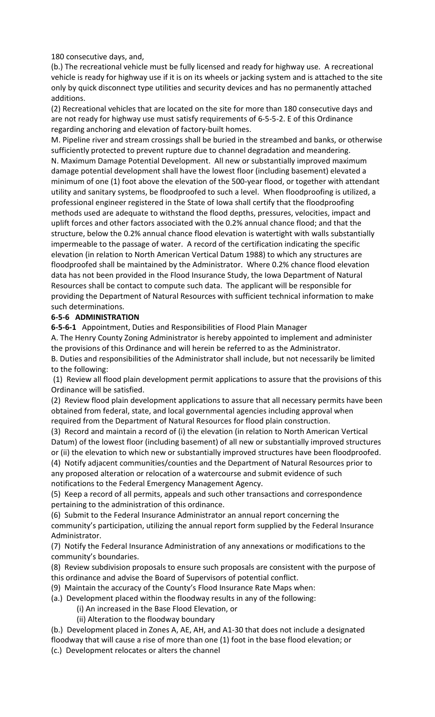180 consecutive days, and,

(b.) The recreational vehicle must be fully licensed and ready for highway use. A recreational vehicle is ready for highway use if it is on its wheels or jacking system and is attached to the site only by quick disconnect type utilities and security devices and has no permanently attached additions.

(2) Recreational vehicles that are located on the site for more than 180 consecutive days and are not ready for highway use must satisfy requirements of 6-5-5-2. E of this Ordinance regarding anchoring and elevation of factory-built homes.

M. Pipeline river and stream crossings shall be buried in the streambed and banks, or otherwise sufficiently protected to prevent rupture due to channel degradation and meandering. N. Maximum Damage Potential Development. All new or substantially improved maximum damage potential development shall have the lowest floor (including basement) elevated a minimum of one (1) foot above the elevation of the 500-year flood, or together with attendant utility and sanitary systems, be floodproofed to such a level. When floodproofing is utilized, a professional engineer registered in the State of Iowa shall certify that the floodproofing methods used are adequate to withstand the flood depths, pressures, velocities, impact and uplift forces and other factors associated with the 0.2% annual chance flood; and that the structure, below the 0.2% annual chance flood elevation is watertight with walls substantially impermeable to the passage of water. A record of the certification indicating the specific elevation (in relation to North American Vertical Datum 1988) to which any structures are floodproofed shall be maintained by the Administrator. Where 0.2% chance flood elevation data has not been provided in the Flood Insurance Study, the Iowa Department of Natural Resources shall be contact to compute such data. The applicant will be responsible for providing the Department of Natural Resources with sufficient technical information to make such determinations.

## **6-5-6 ADMINISTRATION**

**6-5-6-1** Appointment, Duties and Responsibilities of Flood Plain Manager

A. The Henry County Zoning Administrator is hereby appointed to implement and administer the provisions of this Ordinance and will herein be referred to as the Administrator. B. Duties and responsibilities of the Administrator shall include, but not necessarily be limited to the following:

(1) Review all flood plain development permit applications to assure that the provisions of this Ordinance will be satisfied.

(2) Review flood plain development applications to assure that all necessary permits have been obtained from federal, state, and local governmental agencies including approval when required from the Department of Natural Resources for flood plain construction.

(3) Record and maintain a record of (i) the elevation (in relation to North American Vertical Datum) of the lowest floor (including basement) of all new or substantially improved structures or (ii) the elevation to which new or substantially improved structures have been floodproofed. (4) Notify adjacent communities/counties and the Department of Natural Resources prior to any proposed alteration or relocation of a watercourse and submit evidence of such notifications to the Federal Emergency Management Agency.

(5) Keep a record of all permits, appeals and such other transactions and correspondence pertaining to the administration of this ordinance.

(6) Submit to the Federal Insurance Administrator an annual report concerning the community's participation, utilizing the annual report form supplied by the Federal Insurance Administrator.

(7) Notify the Federal Insurance Administration of any annexations or modifications to the community's boundaries.

(8) Review subdivision proposals to ensure such proposals are consistent with the purpose of this ordinance and advise the Board of Supervisors of potential conflict.

(9) Maintain the accuracy of the County's Flood Insurance Rate Maps when:

(a.) Development placed within the floodway results in any of the following:

(i) An increased in the Base Flood Elevation, or

(ii) Alteration to the floodway boundary

(b.) Development placed in Zones A, AE, AH, and A1-30 that does not include a designated floodway that will cause a rise of more than one (1) foot in the base flood elevation; or

(c.) Development relocates or alters the channel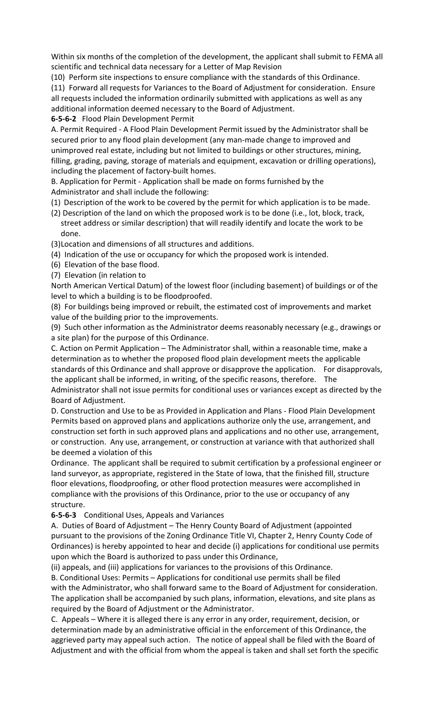Within six months of the completion of the development, the applicant shall submit to FEMA all scientific and technical data necessary for a Letter of Map Revision

(10) Perform site inspections to ensure compliance with the standards of this Ordinance.

(11) Forward all requests for Variances to the Board of Adjustment for consideration. Ensure all requests included the information ordinarily submitted with applications as well as any additional information deemed necessary to the Board of Adjustment.

**6-5-6-2** Flood Plain Development Permit

A. Permit Required - A Flood Plain Development Permit issued by the Administrator shall be secured prior to any flood plain development (any man-made change to improved and unimproved real estate, including but not limited to buildings or other structures, mining, filling, grading, paving, storage of materials and equipment, excavation or drilling operations), including the placement of factory-built homes.

B. Application for Permit - Application shall be made on forms furnished by the Administrator and shall include the following:

(1) Description of the work to be covered by the permit for which application is to be made.

(2) Description of the land on which the proposed work is to be done (i.e., lot, block, track, street address or similar description) that will readily identify and locate the work to be done.

(3)Location and dimensions of all structures and additions.

(4) Indication of the use or occupancy for which the proposed work is intended.

- (6) Elevation of the base flood.
- (7) Elevation (in relation to

North American Vertical Datum) of the lowest floor (including basement) of buildings or of the level to which a building is to be floodproofed.

(8) For buildings being improved or rebuilt, the estimated cost of improvements and market value of the building prior to the improvements.

(9) Such other information as the Administrator deems reasonably necessary (e.g., drawings or a site plan) for the purpose of this Ordinance.

C. Action on Permit Application – The Administrator shall, within a reasonable time, make a determination as to whether the proposed flood plain development meets the applicable standards of this Ordinance and shall approve or disapprove the application. For disapprovals, the applicant shall be informed, in writing, of the specific reasons, therefore. The Administrator shall not issue permits for conditional uses or variances except as directed by the Board of Adjustment.

D. Construction and Use to be as Provided in Application and Plans - Flood Plain Development Permits based on approved plans and applications authorize only the use, arrangement, and construction set forth in such approved plans and applications and no other use, arrangement, or construction. Any use, arrangement, or construction at variance with that authorized shall be deemed a violation of this

Ordinance. The applicant shall be required to submit certification by a professional engineer or land surveyor, as appropriate, registered in the State of Iowa, that the finished fill, structure floor elevations, floodproofing, or other flood protection measures were accomplished in compliance with the provisions of this Ordinance, prior to the use or occupancy of any structure.

# **6-5-6-3** Conditional Uses, Appeals and Variances

A. Duties of Board of Adjustment – The Henry County Board of Adjustment (appointed pursuant to the provisions of the Zoning Ordinance Title VI, Chapter 2, Henry County Code of Ordinances) is hereby appointed to hear and decide (i) applications for conditional use permits upon which the Board is authorized to pass under this Ordinance,

(ii) appeals, and (iii) applications for variances to the provisions of this Ordinance.

B. Conditional Uses: Permits – Applications for conditional use permits shall be filed with the Administrator, who shall forward same to the Board of Adjustment for consideration. The application shall be accompanied by such plans, information, elevations, and site plans as required by the Board of Adjustment or the Administrator.

C. Appeals – Where it is alleged there is any error in any order, requirement, decision, or determination made by an administrative official in the enforcement of this Ordinance, the aggrieved party may appeal such action. The notice of appeal shall be filed with the Board of Adjustment and with the official from whom the appeal is taken and shall set forth the specific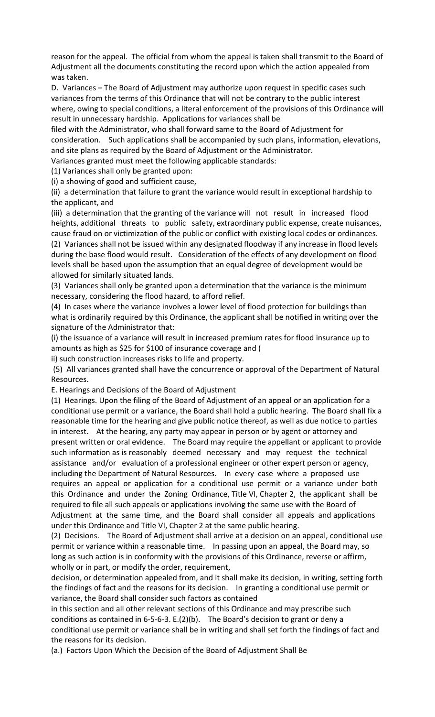reason for the appeal. The official from whom the appeal is taken shall transmit to the Board of Adjustment all the documents constituting the record upon which the action appealed from was taken.

D. Variances – The Board of Adjustment may authorize upon request in specific cases such variances from the terms of this Ordinance that will not be contrary to the public interest where, owing to special conditions, a literal enforcement of the provisions of this Ordinance will result in unnecessary hardship. Applications for variances shall be

filed with the Administrator, who shall forward same to the Board of Adjustment for consideration. Such applications shall be accompanied by such plans, information, elevations, and site plans as required by the Board of Adjustment or the Administrator.

Variances granted must meet the following applicable standards:

(1) Variances shall only be granted upon:

(i) a showing of good and sufficient cause,

(ii) a determination that failure to grant the variance would result in exceptional hardship to the applicant, and

(iii) a determination that the granting of the variance will not result in increased flood heights, additional threats to public safety, extraordinary public expense, create nuisances, cause fraud on or victimization of the public or conflict with existing local codes or ordinances.

(2) Variances shall not be issued within any designated floodway if any increase in flood levels during the base flood would result. Consideration of the effects of any development on flood levels shall be based upon the assumption that an equal degree of development would be allowed for similarly situated lands.

(3) Variances shall only be granted upon a determination that the variance is the minimum necessary, considering the flood hazard, to afford relief.

(4) In cases where the variance involves a lower level of flood protection for buildings than what is ordinarily required by this Ordinance, the applicant shall be notified in writing over the signature of the Administrator that:

(i) the issuance of a variance will result in increased premium rates for flood insurance up to amounts as high as \$25 for \$100 of insurance coverage and (

ii) such construction increases risks to life and property.

(5) All variances granted shall have the concurrence or approval of the Department of Natural Resources.

E. Hearings and Decisions of the Board of Adjustment

(1) Hearings. Upon the filing of the Board of Adjustment of an appeal or an application for a conditional use permit or a variance, the Board shall hold a public hearing. The Board shall fix a reasonable time for the hearing and give public notice thereof, as well as due notice to parties in interest. At the hearing, any party may appear in person or by agent or attorney and present written or oral evidence. The Board may require the appellant or applicant to provide such information as is reasonably deemed necessary and may request the technical assistance and/or evaluation of a professional engineer or other expert person or agency, including the Department of Natural Resources. In every case where a proposed use requires an appeal or application for a conditional use permit or a variance under both this Ordinance and under the Zoning Ordinance, Title VI, Chapter 2, the applicant shall be required to file all such appeals or applications involving the same use with the Board of Adjustment at the same time, and the Board shall consider all appeals and applications under this Ordinance and Title VI, Chapter 2 at the same public hearing.

(2) Decisions. The Board of Adjustment shall arrive at a decision on an appeal, conditional use permit or variance within a reasonable time. In passing upon an appeal, the Board may, so long as such action is in conformity with the provisions of this Ordinance, reverse or affirm, wholly or in part, or modify the order, requirement,

decision, or determination appealed from, and it shall make its decision, in writing, setting forth the findings of fact and the reasons for its decision. In granting a conditional use permit or variance, the Board shall consider such factors as contained

in this section and all other relevant sections of this Ordinance and may prescribe such conditions as contained in 6-5-6-3. E.(2)(b). The Board's decision to grant or deny a conditional use permit or variance shall be in writing and shall set forth the findings of fact and the reasons for its decision.

(a.) Factors Upon Which the Decision of the Board of Adjustment Shall Be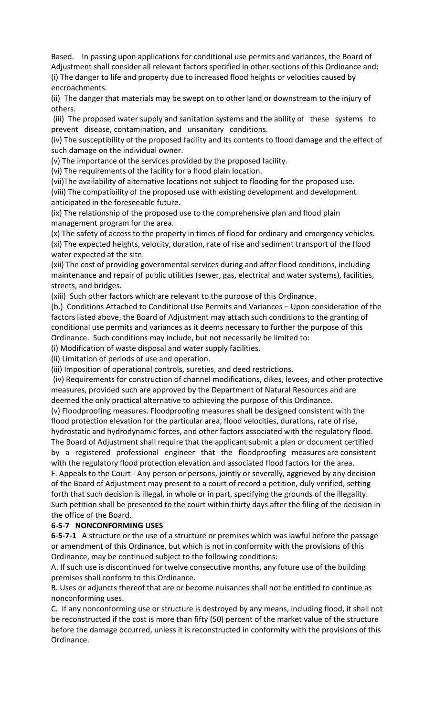Based. In passing upon applications for conditional use permits and variances, the Board of Adjustment shall consider all relevant factors specified in other sections of this Ordinance and: (i) The danger to life and property due to increased flood heights or velocities caused by encroachments.

(ii) The danger that materials may be swept on to other land or downstream to the injury of others.

(iii) The proposed water supply and sanitation systems and the ability of these systems to prevent disease, contamination, and unsanitary conditions.

(iv) The susceptibility of the proposed facility and its contents to flood damage and the effect of such damage on the individual owner.

(v) The importance of the services provided by the proposed facility.

(vi) The requirements of the facility for a flood plain location.

(vii)The availability of alternative locations not subject to flooding for the proposed use. (viii) The compatibility of the proposed use with existing development and development anticipated in the foreseeable future.

(ix) The relationship of the proposed use to the comprehensive plan and flood plain management program for the area.

(x) The safety of access to the property in times of flood for ordinary and emergency vehicles. (xi) The expected heights, velocity, duration, rate of rise and sediment transport of the flood water expected at the site.

(xii) The cost of providing governmental services during and after flood conditions, including maintenance and repair of public utilities (sewer, gas, electrical and water systems), facilities, streets, and bridges.

(xiii) Such other factors which are relevant to the purpose of this Ordinance.

(b.) Conditions Attached to Conditional Use Permits and Variances – Upon consideration of the factors listed above, the Board of Adjustment may attach such conditions to the granting of conditional use permits and variances as it deems necessary to further the purpose of this Ordinance. Such conditions may include, but not necessarily be limited to:

(i) Modification of waste disposal and water supply facilities.

(ii) Limitation of periods of use and operation.

(iii) Imposition of operational controls, sureties, and deed restrictions.

(iv) Requirements for construction of channel modifications, dikes, levees, and other protective measures, provided such are approved by the Department of Natural Resources and are deemed the only practical alternative to achieving the purpose of this Ordinance.

(v) Floodproofing measures. Floodproofing measures shall be designed consistent with the flood protection elevation for the particular area, flood velocities, durations, rate of rise, hydrostatic and hydrodynamic forces, and other factors associated with the regulatory flood.

The Board of Adjustment shall require that the applicant submit a plan or document certified by a registered professional engineer that the floodproofing measures are consistent with the regulatory flood protection elevation and associated flood factors for the area. F. Appeals to the Court - Any person or persons, jointly or severally, aggrieved by any decision of the Board of Adjustment may present to a court of record a petition, duly verified, setting forth that such decision is illegal, in whole or in part, specifying the grounds of the illegality.

Such petition shall be presented to the court within thirty days after the filing of the decision in the office of the Board.

### **6-5-7 NONCONFORMING USES**

**6-5-7-1** A structure or the use of a structure or premises which was lawful before the passage or amendment of this Ordinance, but which is not in conformity with the provisions of this Ordinance, may be continued subject to the following conditions:

A. If such use is discontinued for twelve consecutive months, any future use of the building premises shall conform to this Ordinance.

B. Uses or adjuncts thereof that are or become nuisances shall not be entitled to continue as nonconforming uses.

C. If any nonconforming use or structure is destroyed by any means, including flood, it shall not be reconstructed if the cost is more than fifty (50) percent of the market value of the structure before the damage occurred, unless it is reconstructed in conformity with the provisions of this Ordinance.